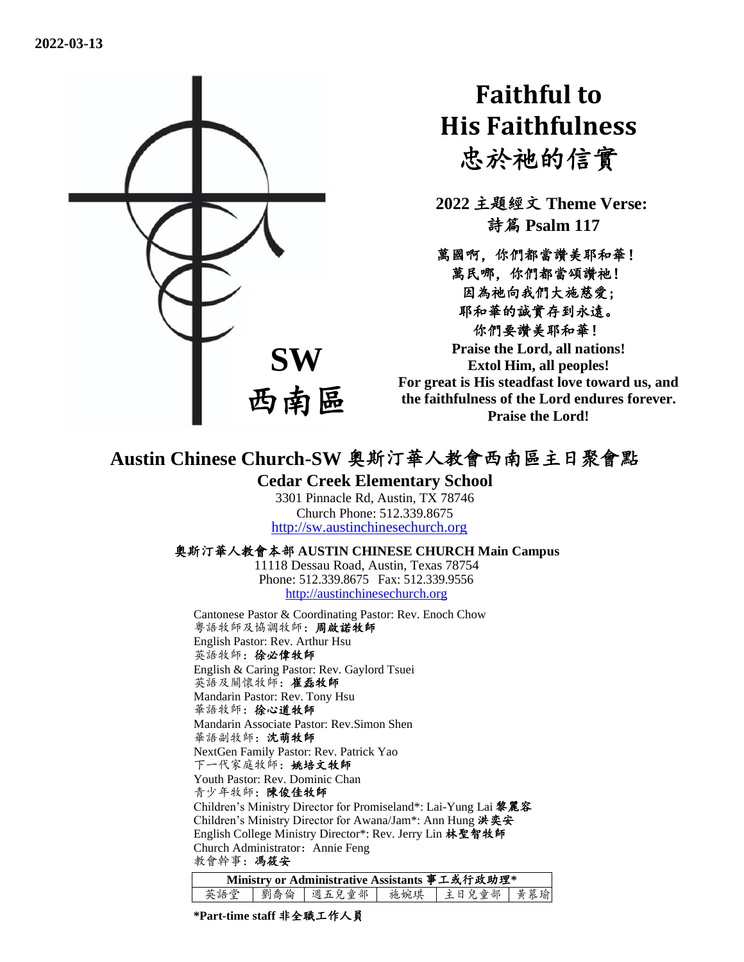

# **Faithful to His Faithfulness** 忠於祂的信實

**2022** 主題經文 **Theme Verse:** 詩篇 **Psalm 117**

萬國啊,你們都當讚美耶和華! 萬民哪,你們都當頌讚祂! 因為祂向我們大施慈愛; 耶和華的誠實存到永遠。 你們要讚美耶和華! **Praise the Lord, all nations!** 

**Extol Him, all peoples! For great is His steadfast love toward us, and the faithfulness of the Lord endures forever. Praise the Lord!**

# **Austin Chinese Church-SW** 奧斯汀華人教會西南區主日聚會點

#### **Cedar Creek Elementary School**

3301 Pinnacle Rd, Austin, TX 78746 Church Phone: 512.339.8675 [http://sw.austinchinesechurch.org](http://sw.austinchinesechurch.org/)

#### 奧斯汀華人教會本部 **AUSTIN CHINESE CHURCH Main Campus**

11118 Dessau Road, Austin, Texas 78754 Phone: 512.339.8675 Fax: 512.339.9556 [http://austinchinesechurch.org](http://austinchinesechurch.org/)

Cantonese Pastor & Coordinating Pastor: Rev. Enoch Chow 粵語牧師及協調牧師:周啟諾牧師 English Pastor: Rev. Arthur Hsu 英語牧師:徐必偉牧師 English & Caring Pastor: Rev. Gaylord Tsuei 英語及關懷牧師:崔磊牧師 Mandarin Pastor: Rev. Tony Hsu 華語牧師:徐心道牧師 Mandarin Associate Pastor: Rev.Simon Shen 華語副牧師:沈萌牧師 NextGen Family Pastor: Rev. Patrick Yao 下一代家庭牧師:姚培文牧師 Youth Pastor: Rev. Dominic Chan 青少年牧師:陳俊佳牧師 Children's Ministry Director for Promiseland\*: Lai-Yung Lai 黎麗容 Children's Ministry Director for Awana/Jam\*: Ann Hung 洪奕安 English College Ministry Director\*: Rev. Jerry Lin 林聖智牧師 Church Administrator: Annie Feng 教會幹事:馮筱安

| Ministry or Administrative Assistants 事工或行政助理* |  |  |  |                                 |  |  |  |  |
|------------------------------------------------|--|--|--|---------------------------------|--|--|--|--|
| 英語堂                                            |  |  |  | 劉喬倫   週五兒童部   施婉琪   主日兒童部   黄慕瑜 |  |  |  |  |

**\*Part-time staff** 非全職工作人員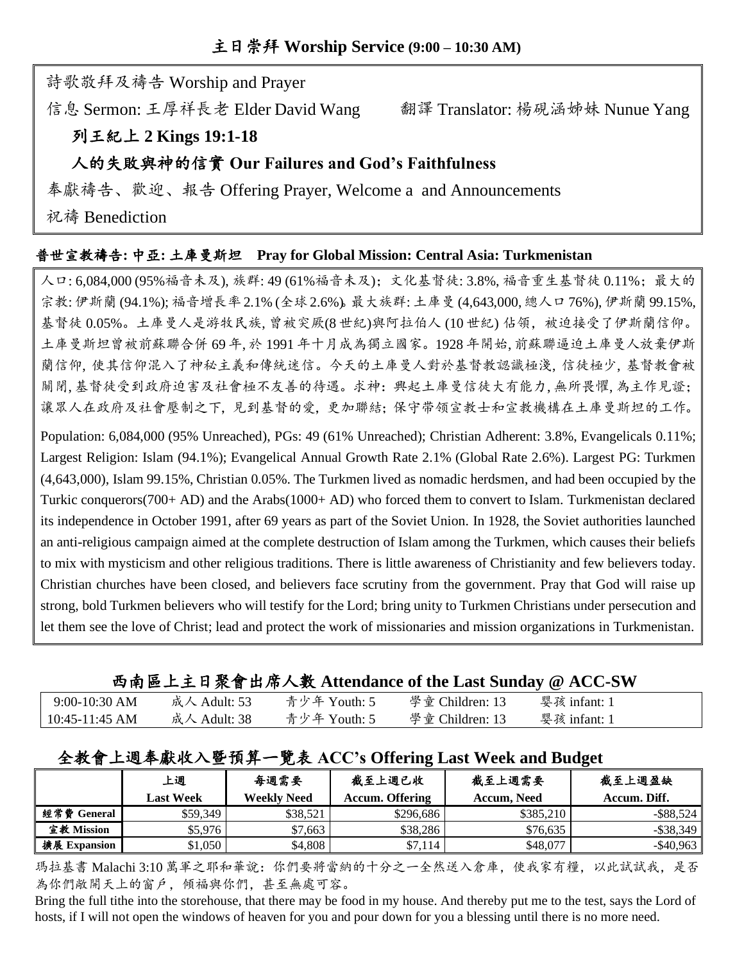詩歌敬拜及禱告 Worship and Prayer

信息 Sermon: 王厚祥長老 Elder David Wang 翻譯 Translator: 楊硯涵姊妹 Nunue Yang

## 列王紀上 **2 Kings 19:1-18**

#### 人的失敗與神的信實 **Our Failures and God's Faithfulness**

奉獻禱告、歡迎、報告 Offering Prayer, Welcome a and Announcements

祝禱 Benediction

#### 普世宣教禱告**:** 中亞**:** 土庫曼斯坦 **Pray for Global Mission: Central Asia: Turkmenistan**

人口: 6,084,000 (95%福音未及), 族群: 49 (61%福音未及);文化基督徒: 3.8%, 福音重生基督徒 0.11%; 最大的 宗教: 伊斯蘭 (94.1%); 福音增長率2.1% (全球2.6%)。最大族群: 土庫曼 (4,643,000, 總人口76%), 伊斯蘭 99.15%, 基督徒 0.05%。土庫曼人是游牧民族, 曾被突厥(8世紀)與阿拉伯人 (10世紀) 佔領, 被迫接受了伊斯蘭信仰。 土庫曼斯坦曾被前蘇聯合併 69 年, 於 1991 年十月成為獨立國家。1928 年開始, 前蘇聯逼迫土庫曼人放棄伊斯 蘭信仰, 使其信仰混入了神秘主義和傳統迷信。今天的土庫曼人對於基督教認識極淺, 信徒極少, 基督教會被 關閉, 基督徒受到政府迫害及社會極不友善的待遇。求神:興起土庫曼信徒大有能力, 無所畏懼, 為主作見證; 讓眾人在政府及社會壓制之下,見到基督的愛,更加聯結;保守带领宣教士和宣教機構在土庫曼斯坦的工作。

Population: 6,084,000 (95% Unreached), PGs: 49 (61% Unreached); Christian Adherent: 3.8%, Evangelicals 0.11%; Largest Religion: Islam (94.1%); Evangelical Annual Growth Rate 2.1% (Global Rate 2.6%). Largest PG: Turkmen (4,643,000), Islam 99.15%, Christian 0.05%. The Turkmen lived as nomadic herdsmen, and had been occupied by the Turkic conquerors(700+ AD) and the Arabs(1000+ AD) who forced them to convert to Islam. Turkmenistan declared its independence in October 1991, after 69 years as part of the Soviet Union. In 1928, the Soviet authorities launched an anti-religious campaign aimed at the complete destruction of Islam among the Turkmen, which causes their beliefs to mix with mysticism and other religious traditions. There is little awareness of Christianity and few believers today. Christian churches have been closed, and believers face scrutiny from the government. Pray that God will raise up strong, bold Turkmen believers who will testify for the Lord; bring unity to Turkmen Christians under persecution and let them see the love of Christ; lead and protect the work of missionaries and mission organizations in Turkmenistan.

西南區上主日聚會出席人數 **Attendance of the Last Sunday @ ACC-SW**

| $9:00-10:30$ AM  | 成人 Adult: 53 | 青少年 Youth: 5 | 學童 Children: 13 | 婴孩 infant: 1 |  |
|------------------|--------------|--------------|-----------------|--------------|--|
| $10:45-11:45$ AM | 成人 Adult: 38 | 青少年 Youth: 5 | 學童 Children: 13 | 婴孩 infant: 1 |  |

## 全教會上週奉獻收入暨預算一覽表 **ACC's Offering Last Week and Budget**

|              | 上週               | 每週需要               | 截至上週已收                 | 截至上週需要      | 截至上週盈缺       |
|--------------|------------------|--------------------|------------------------|-------------|--------------|
|              | <b>Last Week</b> | <b>Weekly Need</b> | <b>Accum. Offering</b> | Accum. Need | Accum. Diff. |
| 經常費 General  | \$59.349         | \$38,521           | \$296.686              | \$385.210   | $-$ \$88,524 |
| 宣教 Mission   | \$5,976          | \$7,663            | \$38,286               | \$76,635    | $-$ \$38,349 |
| 擴展 Expansion | \$1,050          | \$4,808            | \$7,114                | \$48,077    | $-$ \$40,963 |

瑪拉基書 Malachi 3:10 萬軍之耶和華說:你們要將當納的十分之一全然送入倉庫,使我家有糧,以此試試我,是否 為你們敞開天上的窗戶,傾福與你們,甚至無處可容。

Bring the full tithe into the storehouse, that there may be food in my house. And thereby put me to the test, says the Lord of hosts, if I will not open the windows of heaven for you and pour down for you a blessing until there is no more need.